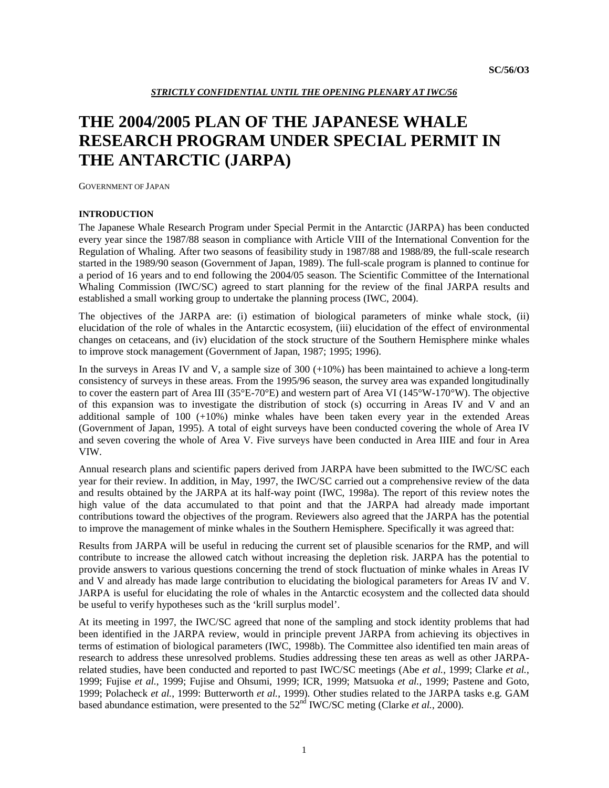# **THE 2004/2005 PLAN OF THE JAPANESE WHALE RESEARCH PROGRAM UNDER SPECIAL PERMIT IN THE ANTARCTIC (JARPA)**

GOVERNMENT OF JAPAN

# **INTRODUCTION**

The Japanese Whale Research Program under Special Permit in the Antarctic (JARPA) has been conducted every year since the 1987/88 season in compliance with Article VIII of the International Convention for the Regulation of Whaling. After two seasons of feasibility study in 1987/88 and 1988/89, the full-scale research started in the 1989/90 season (Government of Japan, 1989). The full-scale program is planned to continue for a period of 16 years and to end following the 2004/05 season. The Scientific Committee of the International Whaling Commission (IWC/SC) agreed to start planning for the review of the final JARPA results and established a small working group to undertake the planning process (IWC, 2004).

The objectives of the JARPA are: (i) estimation of biological parameters of minke whale stock, (ii) elucidation of the role of whales in the Antarctic ecosystem, (iii) elucidation of the effect of environmental changes on cetaceans, and (iv) elucidation of the stock structure of the Southern Hemisphere minke whales to improve stock management (Government of Japan, 1987; 1995; 1996).

In the surveys in Areas IV and V, a sample size of 300 (+10%) has been maintained to achieve a long-term consistency of surveys in these areas. From the 1995/96 season, the survey area was expanded longitudinally to cover the eastern part of Area III (35°E-70°E) and western part of Area VI (145°W-170°W). The objective of this expansion was to investigate the distribution of stock (s) occurring in Areas IV and V and an additional sample of  $100 (+10%)$  minke whales have been taken every year in the extended Areas (Government of Japan, 1995). A total of eight surveys have been conducted covering the whole of Area IV and seven covering the whole of Area V. Five surveys have been conducted in Area IIIE and four in Area VIW.

Annual research plans and scientific papers derived from JARPA have been submitted to the IWC/SC each year for their review. In addition, in May, 1997, the IWC/SC carried out a comprehensive review of the data and results obtained by the JARPA at its half-way point (IWC, 1998a). The report of this review notes the high value of the data accumulated to that point and that the JARPA had already made important contributions toward the objectives of the program. Reviewers also agreed that the JARPA has the potential to improve the management of minke whales in the Southern Hemisphere. Specifically it was agreed that:

Results from JARPA will be useful in reducing the current set of plausible scenarios for the RMP, and will contribute to increase the allowed catch without increasing the depletion risk. JARPA has the potential to provide answers to various questions concerning the trend of stock fluctuation of minke whales in Areas IV and V and already has made large contribution to elucidating the biological parameters for Areas IV and V. JARPA is useful for elucidating the role of whales in the Antarctic ecosystem and the collected data should be useful to verify hypotheses such as the 'krill surplus model'.

At its meeting in 1997, the IWC/SC agreed that none of the sampling and stock identity problems that had been identified in the JARPA review, would in principle prevent JARPA from achieving its objectives in terms of estimation of biological parameters (IWC, 1998b). The Committee also identified ten main areas of research to address these unresolved problems. Studies addressing these ten areas as well as other JARPArelated studies, have been conducted and reported to past IWC/SC meetings (Abe *et al.*, 1999; Clarke *et al.*, 1999; Fujise *et al.*, 1999; Fujise and Ohsumi, 1999; ICR, 1999; Matsuoka *et al.*, 1999; Pastene and Goto, 1999; Polacheck *et al.*, 1999: Butterworth *et al.*, 1999). Other studies related to the JARPA tasks e.g. GAM based abundance estimation, were presented to the 52<sup>nd</sup> IWC/SC meting (Clarke *et al.*, 2000).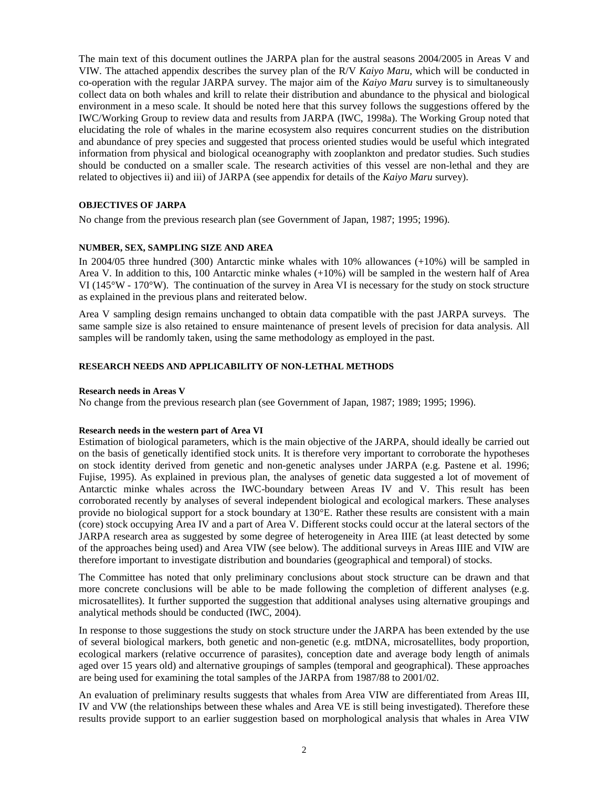The main text of this document outlines the JARPA plan for the austral seasons 2004/2005 in Areas V and VIW. The attached appendix describes the survey plan of the R/V *Kaiyo Maru*, which will be conducted in co-operation with the regular JARPA survey. The major aim of the *Kaiyo Maru* survey is to simultaneously collect data on both whales and krill to relate their distribution and abundance to the physical and biological environment in a meso scale. It should be noted here that this survey follows the suggestions offered by the IWC/Working Group to review data and results from JARPA (IWC, 1998a). The Working Group noted that elucidating the role of whales in the marine ecosystem also requires concurrent studies on the distribution and abundance of prey species and suggested that process oriented studies would be useful which integrated information from physical and biological oceanography with zooplankton and predator studies. Such studies should be conducted on a smaller scale. The research activities of this vessel are non-lethal and they are related to objectives ii) and iii) of JARPA (see appendix for details of the *Kaiyo Maru* survey).

## **OBJECTIVES OF JARPA**

No change from the previous research plan (see Government of Japan, 1987; 1995; 1996).

## **NUMBER, SEX, SAMPLING SIZE AND AREA**

In 2004/05 three hundred (300) Antarctic minke whales with 10% allowances (+10%) will be sampled in Area V. In addition to this, 100 Antarctic minke whales (+10%) will be sampled in the western half of Area VI (145°W - 170°W). The continuation of the survey in Area VI is necessary for the study on stock structure as explained in the previous plans and reiterated below.

Area V sampling design remains unchanged to obtain data compatible with the past JARPA surveys. The same sample size is also retained to ensure maintenance of present levels of precision for data analysis. All samples will be randomly taken, using the same methodology as employed in the past.

## **RESEARCH NEEDS AND APPLICABILITY OF NON-LETHAL METHODS**

### **Research needs in Areas V**

No change from the previous research plan (see Government of Japan, 1987; 1989; 1995; 1996).

### **Research needs in the western part of Area VI**

Estimation of biological parameters, which is the main objective of the JARPA, should ideally be carried out on the basis of genetically identified stock units. It is therefore very important to corroborate the hypotheses on stock identity derived from genetic and non-genetic analyses under JARPA (e.g. Pastene et al. 1996; Fujise, 1995). As explained in previous plan, the analyses of genetic data suggested a lot of movement of Antarctic minke whales across the IWC-boundary between Areas IV and V. This result has been corroborated recently by analyses of several independent biological and ecological markers. These analyses provide no biological support for a stock boundary at 130°E. Rather these results are consistent with a main (core) stock occupying Area IV and a part of Area V. Different stocks could occur at the lateral sectors of the JARPA research area as suggested by some degree of heterogeneity in Area IIIE (at least detected by some of the approaches being used) and Area VIW (see below). The additional surveys in Areas IIIE and VIW are therefore important to investigate distribution and boundaries (geographical and temporal) of stocks.

The Committee has noted that only preliminary conclusions about stock structure can be drawn and that more concrete conclusions will be able to be made following the completion of different analyses (e.g. microsatellites). It further supported the suggestion that additional analyses using alternative groupings and analytical methods should be conducted (IWC, 2004).

In response to those suggestions the study on stock structure under the JARPA has been extended by the use of several biological markers, both genetic and non-genetic (e.g. mtDNA, microsatellites, body proportion, ecological markers (relative occurrence of parasites), conception date and average body length of animals aged over 15 years old) and alternative groupings of samples (temporal and geographical). These approaches are being used for examining the total samples of the JARPA from 1987/88 to 2001/02.

An evaluation of preliminary results suggests that whales from Area VIW are differentiated from Areas III, IV and VW (the relationships between these whales and Area VE is still being investigated). Therefore these results provide support to an earlier suggestion based on morphological analysis that whales in Area VIW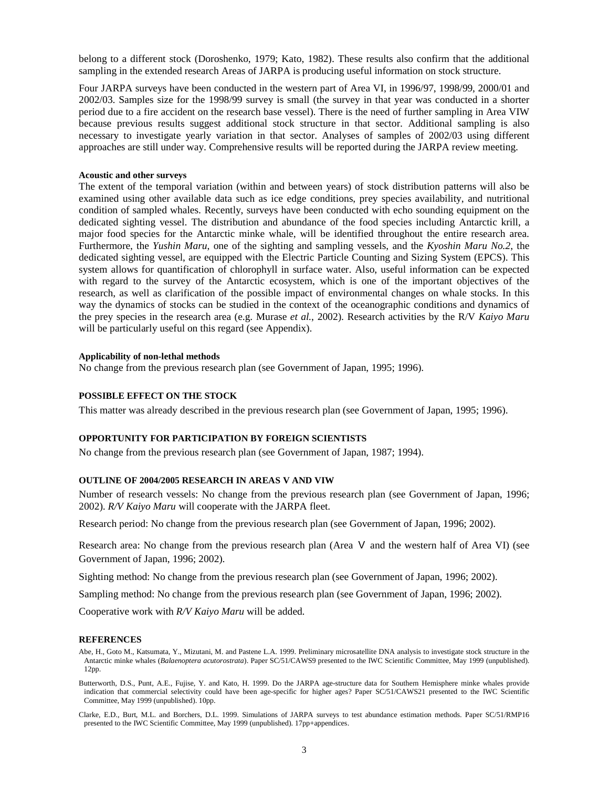belong to a different stock (Doroshenko, 1979; Kato, 1982). These results also confirm that the additional sampling in the extended research Areas of JARPA is producing useful information on stock structure.

Four JARPA surveys have been conducted in the western part of Area VI, in 1996/97, 1998/99, 2000/01 and 2002/03. Samples size for the 1998/99 survey is small (the survey in that year was conducted in a shorter period due to a fire accident on the research base vessel). There is the need of further sampling in Area VIW because previous results suggest additional stock structure in that sector. Additional sampling is also necessary to investigate yearly variation in that sector. Analyses of samples of 2002/03 using different approaches are still under way. Comprehensive results will be reported during the JARPA review meeting.

### **Acoustic and other surveys**

The extent of the temporal variation (within and between years) of stock distribution patterns will also be examined using other available data such as ice edge conditions, prey species availability, and nutritional condition of sampled whales. Recently, surveys have been conducted with echo sounding equipment on the dedicated sighting vessel. The distribution and abundance of the food species including Antarctic krill, a major food species for the Antarctic minke whale, will be identified throughout the entire research area. Furthermore, the *Yushin Maru*, one of the sighting and sampling vessels, and the *Kyoshin Maru No.2*, the dedicated sighting vessel, are equipped with the Electric Particle Counting and Sizing System (EPCS). This system allows for quantification of chlorophyll in surface water. Also, useful information can be expected with regard to the survey of the Antarctic ecosystem, which is one of the important objectives of the research, as well as clarification of the possible impact of environmental changes on whale stocks. In this way the dynamics of stocks can be studied in the context of the oceanographic conditions and dynamics of the prey species in the research area (e.g. Murase *et al.*, 2002). Research activities by the R/V *Kaiyo Maru* will be particularly useful on this regard (see Appendix).

#### **Applicability of non-lethal methods**

No change from the previous research plan (see Government of Japan, 1995; 1996).

### **POSSIBLE EFFECT ON THE STOCK**

This matter was already described in the previous research plan (see Government of Japan, 1995; 1996).

### **OPPORTUNITY FOR PARTICIPATION BY FOREIGN SCIENTISTS**

No change from the previous research plan (see Government of Japan, 1987; 1994).

### **OUTLINE OF 2004/2005 RESEARCH IN AREAS V AND VIW**

Number of research vessels: No change from the previous research plan (see Government of Japan, 1996; 2002). *R/V Kaiyo Maru* will cooperate with the JARPA fleet.

Research period: No change from the previous research plan (see Government of Japan, 1996; 2002).

Research area: No change from the previous research plan (Area V and the western half of Area VI) (see Government of Japan, 1996; 2002).

Sighting method: No change from the previous research plan (see Government of Japan, 1996; 2002).

Sampling method: No change from the previous research plan (see Government of Japan, 1996; 2002).

Cooperative work with *R/V Kaiyo Maru* will be added.

### **REFERENCES**

Abe, H., Goto M., Katsumata, Y., Mizutani, M. and Pastene L.A. 1999. Preliminary microsatellite DNA analysis to investigate stock structure in the Antarctic minke whales (*Balaenoptera acutorostrata*). Paper SC/51/CAWS9 presented to the IWC Scientific Committee, May 1999 (unpublished). 12pp.

Butterworth, D.S., Punt, A.E., Fujise, Y. and Kato, H. 1999. Do the JARPA age-structure data for Southern Hemisphere minke whales provide indication that commercial selectivity could have been age-specific for higher ages? Paper SC/51/CAWS21 presented to the IWC Scientific Committee, May 1999 (unpublished). 10pp.

Clarke, E.D., Burt, M.L. and Borchers, D.L. 1999. Simulations of JARPA surveys to test abundance estimation methods. Paper SC/51/RMP16 presented to the IWC Scientific Committee, May 1999 (unpublished). 17pp+appendices.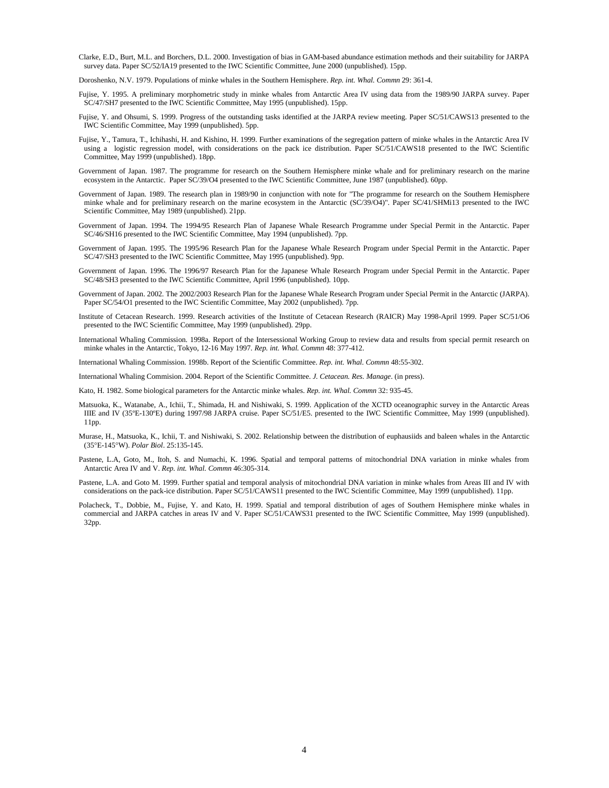- Clarke, E.D., Burt, M.L. and Borchers, D.L. 2000. Investigation of bias in GAM-based abundance estimation methods and their suitability for JARPA survey data. Paper SC/52/IA19 presented to the IWC Scientific Committee, June 2000 (unpublished). 15pp.
- Doroshenko, N.V. 1979. Populations of minke whales in the Southern Hemisphere. *Rep. int. Whal. Commn* 29: 361-4.
- Fujise, Y. 1995. A preliminary morphometric study in minke whales from Antarctic Area IV using data from the 1989/90 JARPA survey. Paper SC/47/SH7 presented to the IWC Scientific Committee, May 1995 (unpublished). 15pp.
- Fujise, Y. and Ohsumi, S. 1999. Progress of the outstanding tasks identified at the JARPA review meeting. Paper SC/51/CAWS13 presented to the IWC Scientific Committee, May 1999 (unpublished). 5pp.
- Fujise, Y., Tamura, T., Ichihashi, H. and Kishino, H. 1999. Further examinations of the segregation pattern of minke whales in the Antarctic Area IV using a logistic regression model, with considerations on the pack ice distribution. Paper SC/51/CAWS18 presented to the IWC Scientific Committee, May 1999 (unpublished). 18pp.
- Government of Japan. 1987. The programme for research on the Southern Hemisphere minke whale and for preliminary research on the marine ecosystem in the Antarctic. Paper SC/39/O4 presented to the IWC Scientific Committee, June 1987 (unpublished). 60pp.
- Government of Japan. 1989. The research plan in 1989/90 in conjunction with note for "The programme for research on the Southern Hemisphere minke whale and for preliminary research on the marine ecosystem in the Antarctic (SC/39/O4)". Paper SC/41/SHMi13 presented to the IWC Scientific Committee, May 1989 (unpublished). 21pp.
- Government of Japan. 1994. The 1994/95 Research Plan of Japanese Whale Research Programme under Special Permit in the Antarctic. Paper SC/46/SH16 presented to the IWC Scientific Committee, May 1994 (unpublished). 7pp.
- Government of Japan. 1995. The 1995/96 Research Plan for the Japanese Whale Research Program under Special Permit in the Antarctic. Paper SC/47/SH3 presented to the IWC Scientific Committee, May 1995 (unpublished). 9pp.
- Government of Japan. 1996. The 1996/97 Research Plan for the Japanese Whale Research Program under Special Permit in the Antarctic. Paper SC/48/SH3 presented to the IWC Scientific Committee, April 1996 (unpublished). 10pp.
- Government of Japan. 2002. The 2002/2003 Research Plan for the Japanese Whale Research Program under Special Permit in the Antarctic (JARPA). Paper SC/54/O1 presented to the IWC Scientific Committee, May 2002 (unpublished). 7pp.
- Institute of Cetacean Research. 1999. Research activities of the Institute of Cetacean Research (RAICR) May 1998-April 1999. Paper SC/51/O6 presented to the IWC Scientific Committee, May 1999 (unpublished). 29pp.
- International Whaling Commission. 1998a. Report of the Intersessional Working Group to review data and results from special permit research on minke whales in the Antarctic, Tokyo, 12-16 May 1997. *Rep. int. Whal. Commn* 48: 377-412.
- International Whaling Commission. 1998b. Report of the Scientific Committee. *Rep. int. Whal. Commn* 48:55-302.
- International Whaling Commision. 2004. Report of the Scientific Committee. *J. Cetacean. Res. Manage*. (in press).
- Kato, H. 1982. Some biological parameters for the Antarctic minke whales. *Rep. int. Whal. Commn* 32: 935-45.
- Matsuoka, K., Watanabe, A., Ichii, T., Shimada, H. and Nishiwaki, S. 1999. Application of the XCTD oceanographic survey in the Antarctic Areas IIIE and IV (35ºE-130ºE) during 1997/98 JARPA cruise. Paper SC/51/E5. presented to the IWC Scientific Committee, May 1999 (unpublished). 11pp.
- Murase, H., Matsuoka, K., Ichii, T. and Nishiwaki, S. 2002. Relationship between the distribution of euphausiids and baleen whales in the Antarctic (35°E-145°W). *Polar Biol*. 25:135-145.
- Pastene, L.A, Goto, M., Itoh, S. and Numachi, K. 1996. Spatial and temporal patterns of mitochondrial DNA variation in minke whales from Antarctic Area IV and V. *Rep. int. Whal. Commn* 46:305-314.
- Pastene, L.A. and Goto M. 1999. Further spatial and temporal analysis of mitochondrial DNA variation in minke whales from Areas III and IV with considerations on the pack-ice distribution. Paper SC/51/CAWS11 presented to the IWC Scientific Committee, May 1999 (unpublished). 11pp.
- Polacheck, T., Dobbie, M., Fujise, Y. and Kato, H. 1999. Spatial and temporal distribution of ages of Southern Hemisphere minke whales in commercial and JARPA catches in areas IV and V. Paper SC/51/CAWS31 presented to the IWC Scientific Committee, May 1999 (unpublished). 32pp.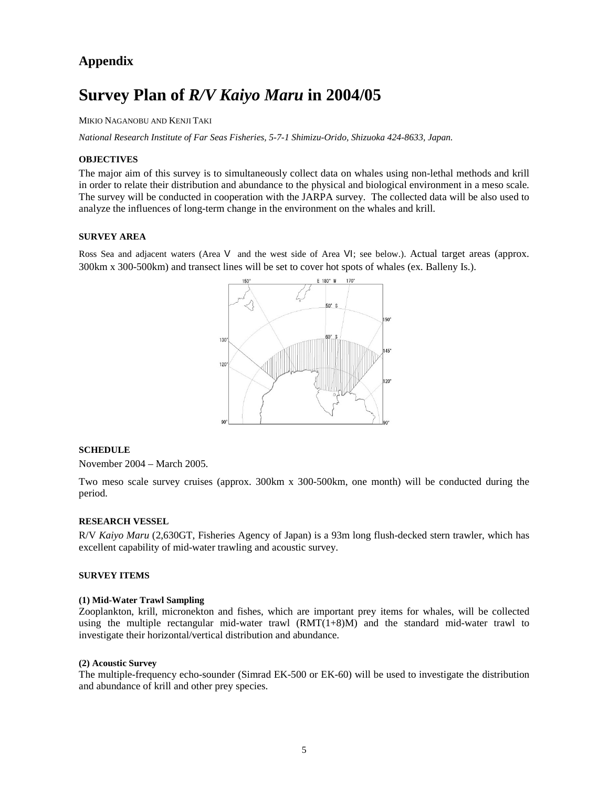# **Appendix**

# **Survey Plan of** *R/V Kaiyo Maru* **in 2004/05**

MIKIO NAGANOBU AND KENJI TAKI

*National Research Institute of Far Seas Fisheries, 5-7-1 Shimizu-Orido, Shizuoka 424-8633, Japan.* 

### **OBJECTIVES**

The major aim of this survey is to simultaneously collect data on whales using non-lethal methods and krill in order to relate their distribution and abundance to the physical and biological environment in a meso scale. The survey will be conducted in cooperation with the JARPA survey. The collected data will be also used to analyze the influences of long-term change in the environment on the whales and krill.

### **SURVEY AREA**

Ross Sea and adjacent waters (Area V and the west side of Area VI; see below.). Actual target areas (approx. 300km x 300-500km) and transect lines will be set to cover hot spots of whales (ex. Balleny Is.).



### **SCHEDULE**

November 2004 – March 2005.

Two meso scale survey cruises (approx. 300km x 300-500km, one month) will be conducted during the period.

### **RESEARCH VESSEL**

R/V *Kaiyo Maru* (2,630GT, Fisheries Agency of Japan) is a 93m long flush-decked stern trawler, which has excellent capability of mid-water trawling and acoustic survey.

# **SURVEY ITEMS**

### **(1) Mid-Water Trawl Sampling**

Zooplankton, krill, micronekton and fishes, which are important prey items for whales, will be collected using the multiple rectangular mid-water trawl  $(RMT(1+8)M)$  and the standard mid-water trawl to investigate their horizontal/vertical distribution and abundance.

### **(2) Acoustic Survey**

The multiple-frequency echo-sounder (Simrad EK-500 or EK-60) will be used to investigate the distribution and abundance of krill and other prey species.